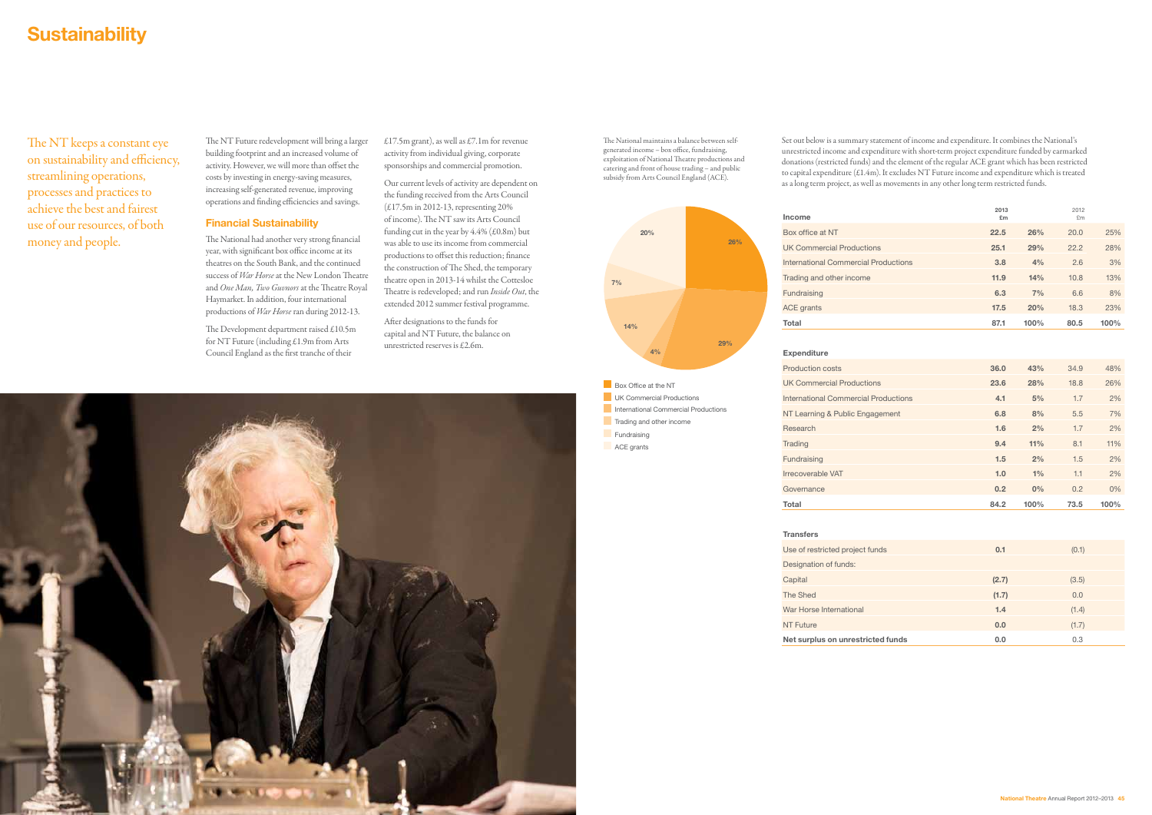## **Sustainability**

The NT keeps a constant eye on sustainability and efficiency, streamlining operations, processes and practices to achieve the best and fairest use of our resources, of both money and people.

The National maintains a balance between selfgenerated income – box office, fundraising, exploitation of National Theatre productions and catering and front of house trading – and public subsidy from Arts Council England (ACE).

The NT Future redevelopment will bring a larger building footprint and an increased volume of activity. However, we will more than offset the costs by investing in energy-saving measures, increasing self-generated revenue, improving operations and finding efficiencies and savings.

£17.5m grant), as well as £7.1m for revenue activity from individual giving, corporate sponsorships and commercial promotion.

## Financial Sustainability

The National had another very strong financial year, with significant box office income at its theatres on the South Bank, and the continued success of *War Horse* at the New London Theatre and *One Man, Two Guvnors* at the Theatre Royal Haymarket. In addition, four international productions of *War Horse* ran during 2012-13.

The Development department raised £10.5m for NT Future (including £1.9m from Arts Council England as the first tranche of their

Our current levels of activity are dependent on the funding received from the Arts Council (£17.5m in 2012-13, representing 20% of income). The NT saw its Arts Council funding cut in the year by  $4.4\%$  (£0.8m) but was able to use its income from commercial productions to offset this reduction; finance the construction of The Shed, the temporary theatre open in 2013-14 whilst the Cottesloe Theatre is redeveloped; and run *Inside Out*, the extended 2012 summer festival programme.

After designations to the funds for capital and NT Future, the balance on unrestricted reserves is £2.6m.

| Income                               | 2013<br>£m |      | 2012<br>£m |      |
|--------------------------------------|------------|------|------------|------|
| Box office at NT                     | 22.5       | 26%  | 20.0       | 25%  |
| <b>UK Commercial Productions</b>     | 25.1       | 29%  | 22.2       | 28%  |
| International Commercial Productions | 3.8        | 4%   | 2.6        | 3%   |
| Trading and other income             | 11.9       | 14%  | 10.8       | 13%  |
| Fundraising                          | 6.3        | 7%   | 6.6        | 8%   |
| <b>ACE</b> grants                    | 17.5       | 20%  | 18.3       | 23%  |
| Total                                | 87.1       | 100% | 80.5       | 100% |

| <b>Production costs</b>                     | 36.0 | 43%  | 34.9 | 48%   |
|---------------------------------------------|------|------|------|-------|
| <b>UK Commercial Productions</b>            | 23.6 | 28%  | 18.8 | 26%   |
| <b>International Commercial Productions</b> | 4.1  | 5%   | 1.7  | 2%    |
| NT Learning & Public Engagement             | 6.8  | 8%   | 5.5  | 7%    |
| Research                                    | 1.6  | 2%   | 1.7  | 2%    |
| <b>Trading</b>                              | 9.4  | 11%  | 8.1  | 11%   |
| Fundraising                                 | 1.5  | 2%   | 1.5  | 2%    |
| Irrecoverable VAT                           | 1.0  | 1%   | 1.1  | 2%    |
| Governance                                  | 0.2  | 0%   | 0.2  | $0\%$ |
| Total                                       | 84.2 | 100% | 73.5 | 100%  |



| Use of restricted project funds   | 0.1   | (0.1) |
|-----------------------------------|-------|-------|
| Designation of funds:             |       |       |
| Capital                           | (2.7) | (3.5) |
| The Shed                          | (1.7) | 0.0   |
| War Horse International           | 1.4   | (1.4) |
| <b>NT Future</b>                  | 0.0   | (1.7) |
| Net surplus on unrestricted funds | 0.0   | 0.3   |
|                                   |       |       |



Set out below is a summary statement of income and expenditure. It combines the National's unrestricted income and expenditure with short-term project expenditure funded by earmarked donations (restricted funds) and the element of the regular ACE grant which has been restricted to capital expenditure (£1.4m). It excludes NT Future income and expenditure which is treated as a long term project, as well as movements in any other long term restricted funds.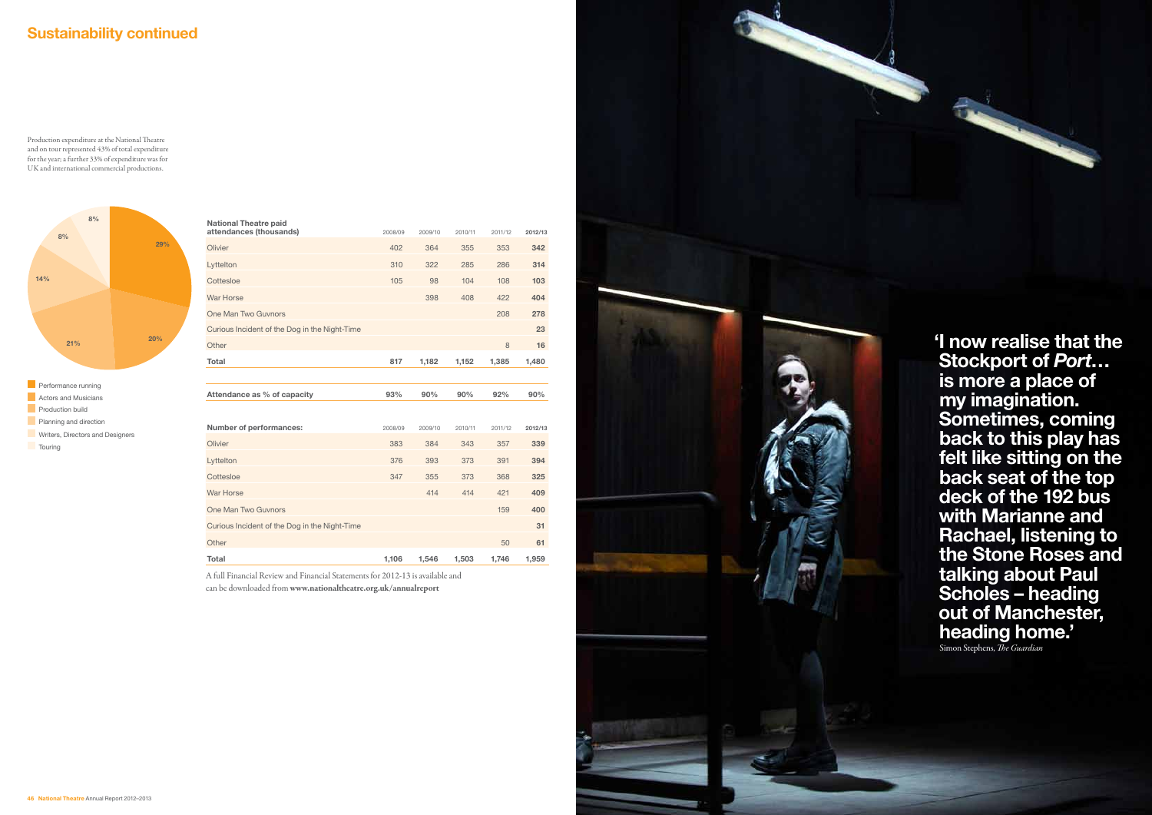| attendances (thousands)                                    | 2008/09 | 2009/10 | 2010/11 | 2011/12 | 2012/13 |
|------------------------------------------------------------|---------|---------|---------|---------|---------|
| Olivier                                                    | 402     | 364     | 355     | 353     | 342     |
| Lyttelton                                                  | 310     | 322     | 285     | 286     | 314     |
| Cottesloe                                                  | 105     | 98      | 104     | 108     | 103     |
| War Horse                                                  |         | 398     | 408     | 422     | 404     |
| One Man Two Guynors                                        |         |         |         | 208     | 278     |
| Curious Incident of the Dog in the Night-Time              |         |         |         |         | 23      |
| Other                                                      |         |         |         | 8       | 16      |
| Total                                                      | 817     | 1,182   | 1,152   | 1,385   | 1,480   |
|                                                            |         |         |         |         |         |
|                                                            |         |         |         |         |         |
| Attendance as % of capacity                                | 93%     | 90%     | 90%     | 92%     | 90%     |
|                                                            |         |         |         |         |         |
| Number of performances:                                    | 2008/09 | 2009/10 | 2010/11 | 2011/12 | 2012/13 |
| Olivier                                                    | 383     | 384     | 343     | 357     | 339     |
| Lyttelton                                                  | 376     | 393     | 373     | 391     | 394     |
| Cottesloe                                                  | 347     | 355     | 373     | 368     | 325     |
|                                                            |         | 414     | 414     | 421     | 409     |
| One Man Two Guynors                                        |         |         |         | 159     | 400     |
| War Horse<br>Curious Incident of the Dog in the Night-Time |         |         |         |         | 31      |
| Other                                                      |         |         |         | 50      | 61      |

A full Financial Review and Financial Statements for 2012-13 is available and can be downloaded from www.nationaltheatre.org.uk/annualreport



Production expenditure at the National Theatre and on tour represented 43% of total expenditure for the year; a further 33% of expenditure was for UK and international commercial productions.



## Sustainability continued

'I now realise that the Stockport of *Port*… is more a place of my imagination. Sometimes, coming back to this play has felt like sitting on the back seat of the top deck of the 192 bus with Marianne and Rachael, listening to the Stone Roses and talking about Paul Scholes – heading out of Manchester, heading home.' Simon Stephens, *The Guardian*